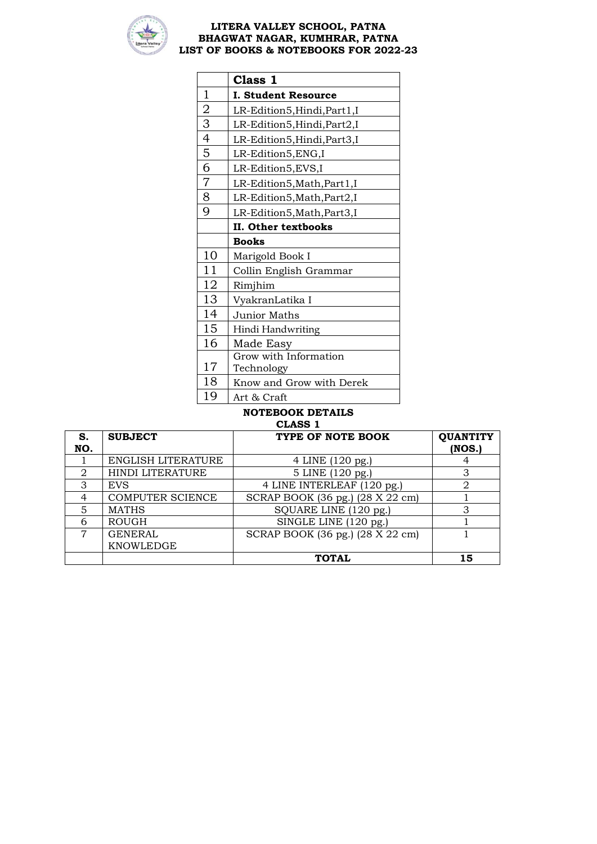

|                | Class 1                      |
|----------------|------------------------------|
| $\mathbf{1}$   | <b>I. Student Resource</b>   |
|                | LR-Edition5, Hindi, Part1, I |
| $\frac{2}{3}$  | LR-Edition5, Hindi, Part2, I |
|                | LR-Edition5, Hindi, Part3, I |
| $\overline{5}$ | LR-Edition5, ENG, I          |
| $\overline{6}$ | LR-Edition5, EVS, I          |
| $\overline{7}$ | LR-Edition5, Math, Part1, I  |
| $\overline{8}$ | LR-Edition5, Math, Part2, I  |
| $\overline{9}$ | LR-Edition5, Math, Part3, I  |
|                | II. Other textbooks          |
|                | <b>Books</b>                 |
| 10             | Marigold Book I              |
| 11             | Collin English Grammar       |
| 12             | Rimjhim                      |
| 13             | VyakranLatika I              |
| 14             | <b>Junior Maths</b>          |
| 15             | Hindi Handwriting            |
| 16             | Made Easy                    |
|                | Grow with Information        |
| 17             | Technology                   |
| 18             | Know and Grow with Derek     |
| 19             | Art & Craft                  |

|                             | стирэ т                 |                                  |                           |  |  |
|-----------------------------|-------------------------|----------------------------------|---------------------------|--|--|
| S.<br>NO.                   | <b>SUBJECT</b>          | TYPE OF NOTE BOOK                | <b>QUANTITY</b><br>(NOS.) |  |  |
|                             |                         |                                  |                           |  |  |
|                             | ENGLISH LITERATURE      | 4 LINE (120 pg.)                 |                           |  |  |
| $\mathcal{D}_{\mathcal{L}}$ | HINDI LITERATURE        | 5 LINE (120 pg.)                 |                           |  |  |
| 3                           | <b>EVS</b>              | 4 LINE INTERLEAF (120 pg.)       |                           |  |  |
| 4                           | <b>COMPUTER SCIENCE</b> | SCRAP BOOK (36 pg.) (28 X 22 cm) |                           |  |  |
| 5                           | <b>MATHS</b>            | SQUARE LINE (120 pg.)            | 3                         |  |  |
| 6                           | <b>ROUGH</b>            | SINGLE LINE (120 pg.)            |                           |  |  |
| 7                           | <b>GENERAL</b>          | SCRAP BOOK (36 pg.) (28 X 22 cm) |                           |  |  |
|                             | KNOWLEDGE               |                                  |                           |  |  |
|                             |                         | <b>TOTAL</b>                     | 15                        |  |  |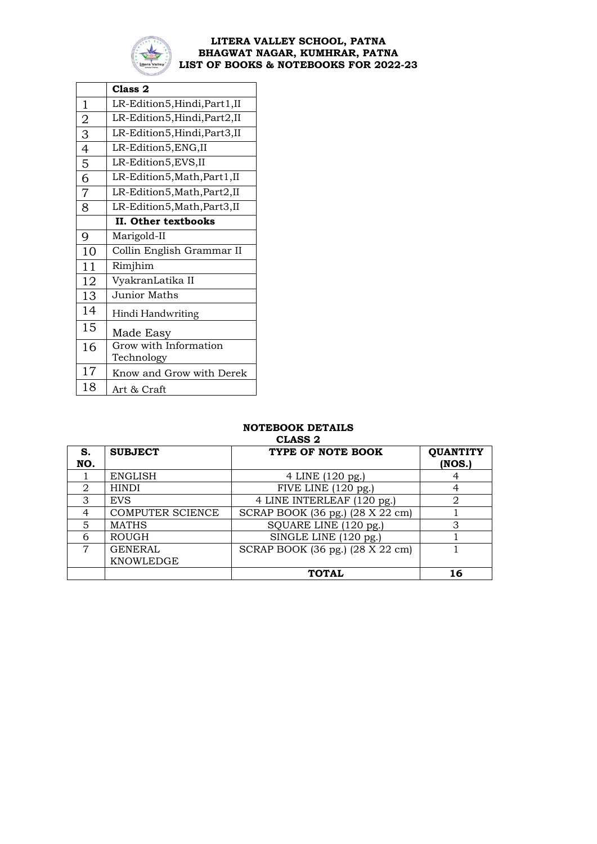

|                | Class <sub>2</sub>            |
|----------------|-------------------------------|
| $\mathbf 1$    | LR-Edition5, Hindi, Part1, II |
| $\overline{2}$ | LR-Edition5, Hindi, Part2, II |
| $\overline{3}$ | LR-Edition5, Hindi, Part3, II |
| $\overline{4}$ | LR-Edition5, ENG, II          |
| 5              | LR-Edition5, EVS, II          |
| 6              | LR-Edition5, Math, Part1, II  |
| $\overline{7}$ | LR-Edition5, Math, Part2, II  |
| 8              | LR-Edition5, Math, Part3, II  |
|                | II. Other textbooks           |
| 9              | Marigold-II                   |
| 10             | Collin English Grammar II     |
| 11             | Rimjhim                       |
| 12             | VyakranLatika II              |
| 13             | <b>Junior Maths</b>           |
| 14             | Hindi Handwriting             |
| 15             | Made Easy                     |
| 16             | Grow with Information         |
|                | Technology                    |
| 17             | Know and Grow with Derek      |
| 18             | Art & Craft                   |

| S.<br>NO.     | <b>SUBJECT</b>   | TYPE OF NOTE BOOK                | <b>QUANTITY</b><br>(NOS.) |
|---------------|------------------|----------------------------------|---------------------------|
|               | <b>ENGLISH</b>   | 4 LINE (120 pg.)                 | 4                         |
| $\mathcal{D}$ | <b>HINDI</b>     | FIVE LINE (120 pg.)              | 4                         |
| 3             | <b>EVS</b>       | 4 LINE INTERLEAF (120 pg.)       | 2                         |
| 4             | COMPUTER SCIENCE | SCRAP BOOK (36 pg.) (28 X 22 cm) |                           |
| 5             | <b>MATHS</b>     | SQUARE LINE (120 pg.)            | З                         |
| 6             | <b>ROUGH</b>     | SINGLE LINE (120 pg.)            |                           |
| 7             | <b>GENERAL</b>   | SCRAP BOOK (36 pg.) (28 X 22 cm) |                           |
|               | KNOWLEDGE        |                                  |                           |
|               |                  | <b>TOTAL</b>                     | 16                        |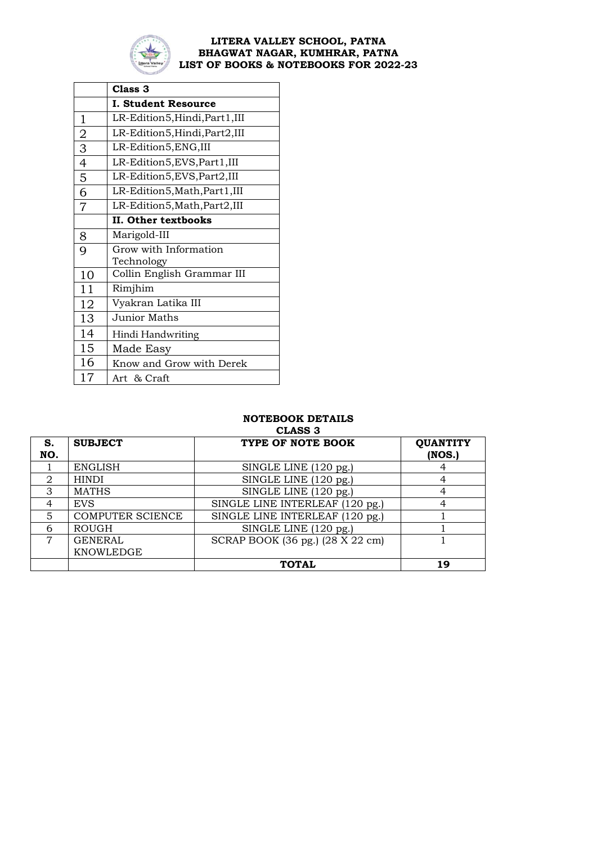

|                | Class 3                        |  |
|----------------|--------------------------------|--|
|                | <b>I. Student Resource</b>     |  |
| 1              | LR-Edition5, Hindi, Part1, III |  |
| $\overline{2}$ | LR-Edition5, Hindi, Part2, III |  |
| $\overline{3}$ | LR-Edition5, ENG, III          |  |
| $\overline{4}$ | LR-Edition5, EVS, Part1, III   |  |
| 5              | LR-Edition5, EVS, Part2, III   |  |
| $\overline{6}$ | LR-Edition5, Math, Part1, III  |  |
| $\overline{7}$ | LR-Edition5, Math, Part2, III  |  |
|                | II. Other textbooks            |  |
| 8              | Marigold-III                   |  |
| 9              | Grow with Information          |  |
|                | Technology                     |  |
| 10             | Collin English Grammar III     |  |
| 11             | Rimjhim                        |  |
| 12             | Vyakran Latika III             |  |
| 13             | <b>Junior Maths</b>            |  |
| 14             | Hindi Handwriting              |  |
| 15             | Made Easy                      |  |
| 16             | Know and Grow with Derek       |  |
| 17             | Art & Craft                    |  |

# **NOTEBOOK DETAILS**

|     |                         | <b>CLASS 3</b>                   |                 |
|-----|-------------------------|----------------------------------|-----------------|
| S.  | <b>SUBJECT</b>          | TYPE OF NOTE BOOK                | <b>QUANTITY</b> |
| NO. |                         |                                  | (NOS.)          |
|     | <b>ENGLISH</b>          | SINGLE LINE (120 pg.)            |                 |
| 2   | <b>HINDI</b>            | SINGLE LINE (120 pg.)            | 4               |
| 3   | <b>MATHS</b>            | SINGLE LINE (120 pg.)            | 4               |
| 4   | <b>EVS</b>              | SINGLE LINE INTERLEAF (120 pg.)  | 4               |
| 5   | <b>COMPUTER SCIENCE</b> | SINGLE LINE INTERLEAF (120 pg.)  |                 |
| 6   | <b>ROUGH</b>            | SINGLE LINE (120 pg.)            |                 |
| 7   | <b>GENERAL</b>          | SCRAP BOOK (36 pg.) (28 X 22 cm) |                 |
|     | KNOWLEDGE               |                                  |                 |
|     |                         | <b>TOTAL</b>                     | 19              |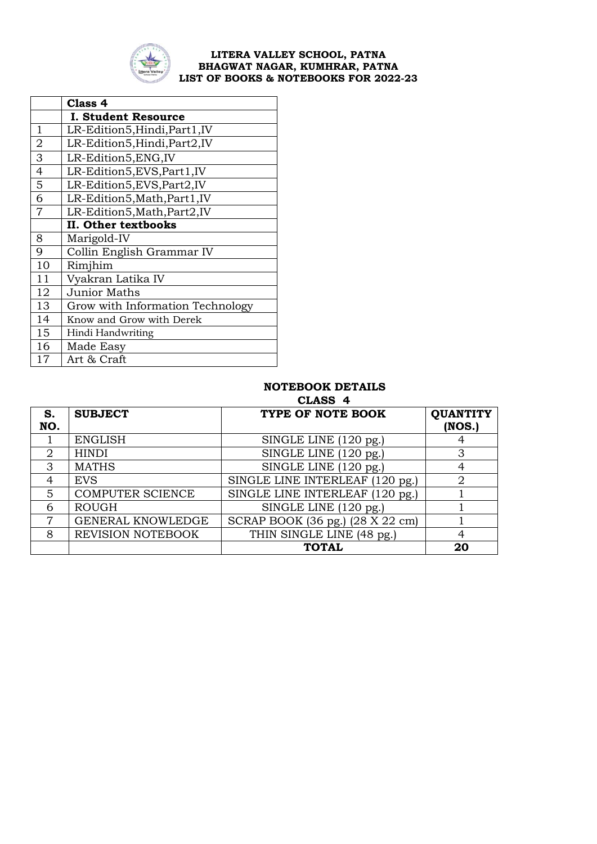

|                | Class 4                          |
|----------------|----------------------------------|
|                | <b>I. Student Resource</b>       |
| 1              | LR-Edition5, Hindi, Part1, IV    |
| $\overline{2}$ | LR-Edition5, Hindi, Part2, IV    |
| 3              | LR-Edition5, ENG, IV             |
| $\overline{4}$ | LR-Edition5, EVS, Part1, IV      |
| $\overline{5}$ | LR-Edition5, EVS, Part2, IV      |
| $\overline{6}$ | LR-Edition5, Math, Part1, IV     |
| $\overline{7}$ | LR-Edition5, Math, Part2, IV     |
|                | II. Other textbooks              |
| 8              | Marigold-IV                      |
| 9              | Collin English Grammar IV        |
| 10             | Rimjhim                          |
| 11             | Vyakran Latika IV                |
| 12             | <b>Junior Maths</b>              |
| 13             | Grow with Information Technology |
| 14             | Know and Grow with Derek         |
| 15             | Hindi Handwriting                |
| 16             | Made Easy                        |
| 17             | Art & Craft                      |

# **NOTEBOOK DETAILS**

 **CLASS 4**

| S.             | <b>SUBJECT</b>          | TYPE OF NOTE BOOK                | <b>QUANTITY</b> |
|----------------|-------------------------|----------------------------------|-----------------|
| NO.            |                         |                                  | (NOS.)          |
|                | <b>ENGLISH</b>          | SINGLE LINE (120 pg.)            |                 |
| 2              | <b>HINDI</b>            | SINGLE LINE (120 pg.)            |                 |
| 3              | <b>MATHS</b>            | SINGLE LINE (120 pg.)            |                 |
| $\overline{4}$ | <b>EVS</b>              | SINGLE LINE INTERLEAF (120 pg.)  |                 |
| 5              | <b>COMPUTER SCIENCE</b> | SINGLE LINE INTERLEAF (120 pg.)  |                 |
| 6              | <b>ROUGH</b>            | SINGLE LINE (120 pg.)            |                 |
| 7              | GENERAL KNOWLEDGE       | SCRAP BOOK (36 pg.) (28 X 22 cm) |                 |
| 8              | REVISION NOTEBOOK       | THIN SINGLE LINE (48 pg.)        |                 |
|                |                         | <b>TOTAL</b>                     | 20              |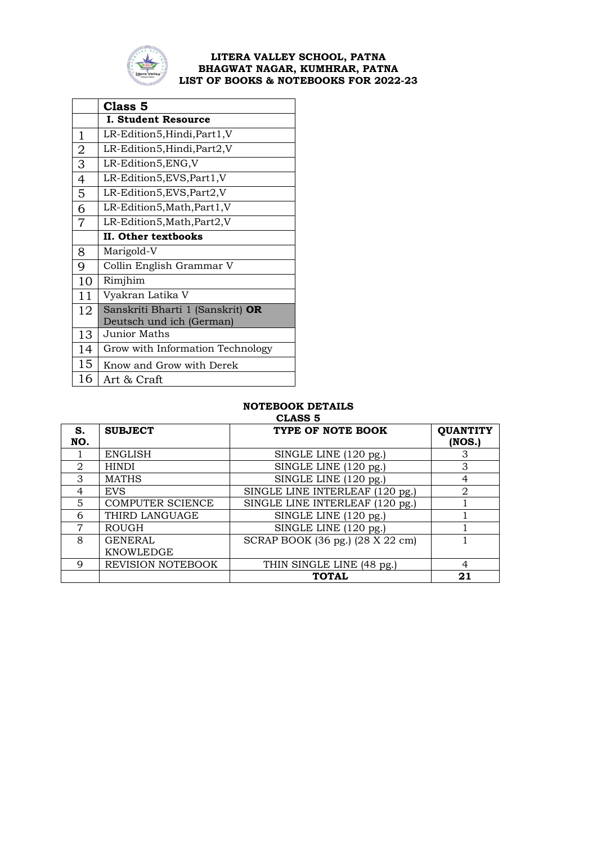

|                | Class 5                          |  |
|----------------|----------------------------------|--|
|                | <b>I. Student Resource</b>       |  |
| $\mathbf{1}$   | LR-Edition5, Hindi, Part1, V     |  |
|                | LR-Edition5,Hindi,Part2,V        |  |
| $\frac{2}{3}$  | LR-Edition5,ENG,V                |  |
|                | LR-Edition5, EVS, Part1, V       |  |
| $\overline{5}$ | LR-Edition5, EVS, Part2, V       |  |
| $\overline{6}$ | LR-Edition5, Math, Part1, V      |  |
| $\overline{7}$ | LR-Edition5, Math, Part2, V      |  |
|                | II. Other textbooks              |  |
| 8              | Marigold-V                       |  |
| 9              | Collin English Grammar V         |  |
| 10             | Rimjhim                          |  |
| 11             | Vyakran Latika V                 |  |
| 12             | Sanskriti Bharti 1 (Sanskrit) OR |  |
|                | Deutsch und ich (German)         |  |
| 13             | <b>Junior Maths</b>              |  |
| 14             | Grow with Information Technology |  |
| 15             | Know and Grow with Derek         |  |
| 16             | Art & Craft                      |  |

|                   | -------                  |                                  |                             |  |
|-------------------|--------------------------|----------------------------------|-----------------------------|--|
| S.                | <b>SUBJECT</b>           | TYPE OF NOTE BOOK                | <b>QUANTITY</b>             |  |
| NO.               |                          |                                  | (NOS.)                      |  |
|                   | <b>ENGLISH</b>           | SINGLE LINE (120 pg.)            | З                           |  |
| $\mathcal{D}_{1}$ | <b>HINDI</b>             | SINGLE LINE (120 pg.)            | 3                           |  |
| 3                 | <b>MATHS</b>             | SINGLE LINE (120 pg.)            | 4                           |  |
| 4                 | <b>EVS</b>               | SINGLE LINE INTERLEAF (120 pg.)  | $\mathcal{D}_{\mathcal{L}}$ |  |
| 5                 | <b>COMPUTER SCIENCE</b>  | SINGLE LINE INTERLEAF (120 pg.)  |                             |  |
| 6                 | THIRD LANGUAGE           | SINGLE LINE (120 pg.)            |                             |  |
| 7                 | <b>ROUGH</b>             | SINGLE LINE (120 pg.)            |                             |  |
| 8                 | <b>GENERAL</b>           | SCRAP BOOK (36 pg.) (28 X 22 cm) |                             |  |
|                   | KNOWLEDGE                |                                  |                             |  |
| 9                 | <b>REVISION NOTEBOOK</b> | THIN SINGLE LINE (48 pg.)        | 4                           |  |
|                   |                          | <b>TOTAL</b>                     | 21                          |  |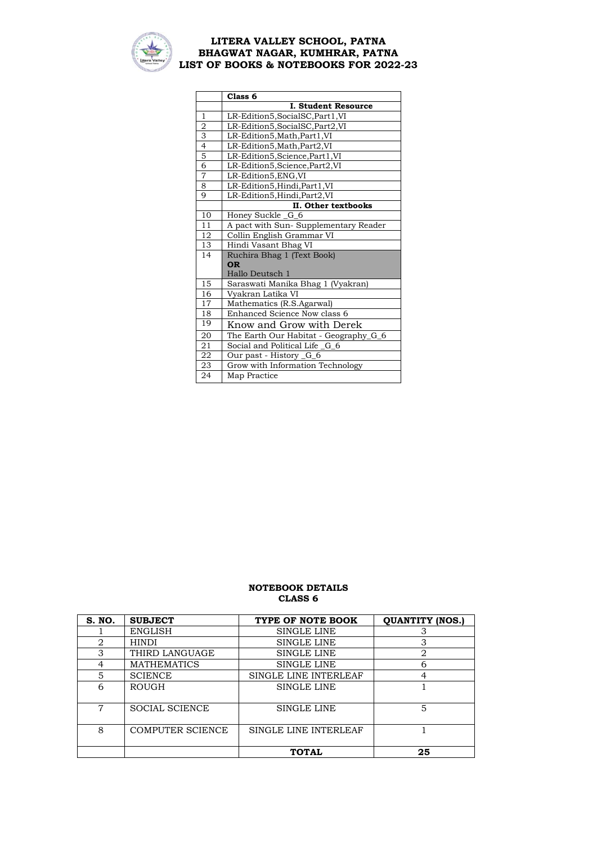

|                 | Class <sub>6</sub>                       |  |
|-----------------|------------------------------------------|--|
|                 | I. Student Resource                      |  |
| $\mathbf{1}$    | LR-Edition5, SocialSC, Part1, VI         |  |
| $\overline{2}$  | LR-Edition5, SocialSC, Part2, VI         |  |
| 3               | LR-Edition5, Math, Part1, VI             |  |
| $\overline{4}$  | LR-Edition5, Math, Part2, VI             |  |
| $\overline{5}$  | LR-Edition5, Science, Part1, VI          |  |
| $\overline{6}$  | LR-Edition5, Science, Part2, VI          |  |
| 7               | LR-Edition5, ENG, VI                     |  |
| 8               | LR-Edition5, Hindi, Part1, VI            |  |
| 9               | LR-Edition5,Hindi,Part2,VI               |  |
|                 | II. Other textbooks                      |  |
| 10              | Honey Suckle _G_6                        |  |
| 11              | A pact with Sun- Supplementary Reader    |  |
| 12              | Collin English Grammar VI                |  |
| 13              | Hindi Vasant Bhag VI                     |  |
| 14              | Ruchira Bhag 1 (Text Book)               |  |
|                 | <b>OR</b>                                |  |
|                 | Hallo Deutsch 1                          |  |
| 15              | <u>Saraswati Manika Bhag 1 (Vyakran)</u> |  |
| 16              | Vyakran Latika VI                        |  |
| 17              | Mathematics (R.S.Agarwal)                |  |
| 18              | Enhanced Science Now class 6             |  |
| 19              | Know and Grow with Derek                 |  |
| 20              | The Earth Our Habitat - Geography_G_6    |  |
| 21              | Social and Political Life G 6            |  |
| $\overline{22}$ | Our past - History _G_6                  |  |
| 23              | Grow with Information Technology         |  |
| 24              | Map Practice                             |  |

| S. NO. | <b>SUBJECT</b>          | TYPE OF NOTE BOOK     | <b>QUANTITY (NOS.)</b> |
|--------|-------------------------|-----------------------|------------------------|
|        | <b>ENGLISH</b>          | SINGLE LINE           |                        |
| 2      | <b>HINDI</b>            | SINGLE LINE           | 3                      |
| 3      | THIRD LANGUAGE          | <b>SINGLE LINE</b>    | 2                      |
| 4      | <b>MATHEMATICS</b>      | <b>SINGLE LINE</b>    | 6                      |
| 5      | <b>SCIENCE</b>          | SINGLE LINE INTERLEAF | 4                      |
| 6      | <b>ROUGH</b>            | <b>SINGLE LINE</b>    |                        |
| 7      | <b>SOCIAL SCIENCE</b>   | SINGLE LINE           | 5                      |
| 8      | <b>COMPUTER SCIENCE</b> | SINGLE LINE INTERLEAF |                        |
|        |                         | <b>TOTAL</b>          | 25                     |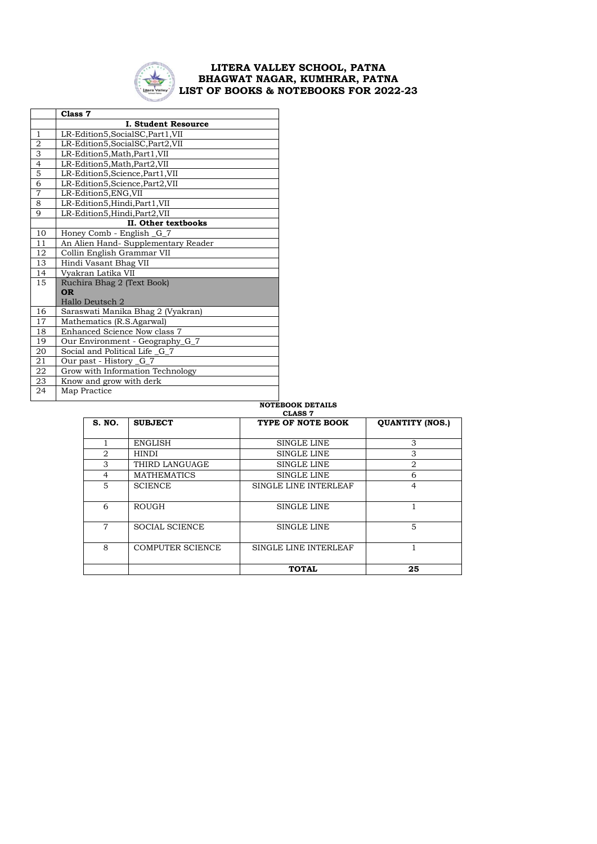

|                | Class 7                             |  |  |
|----------------|-------------------------------------|--|--|
|                | <b>I. Student Resource</b>          |  |  |
| $\mathbf{1}$   | LR-Edition5, SocialSC, Part1, VII   |  |  |
| $\overline{2}$ | LR-Edition5, SocialSC, Part2, VII   |  |  |
| $\overline{3}$ | LR-Edition5, Math, Part1, VII       |  |  |
| $\overline{4}$ | LR-Edition5, Math, Part2, VII       |  |  |
| $\overline{5}$ | LR-Edition5, Science, Part1, VII    |  |  |
| $\overline{6}$ | LR-Edition5, Science, Part2, VII    |  |  |
| 7              | LR-Edition5, ENG, VII               |  |  |
| 8              | LR-Edition5, Hindi, Part1, VII      |  |  |
| 9              | LR-Edition5, Hindi, Part2, VII      |  |  |
|                | II. Other textbooks                 |  |  |
| 10             | Honey Comb - English G_7            |  |  |
| 11             | An Alien Hand- Supplementary Reader |  |  |
| 12             | Collin English Grammar VII          |  |  |
| 13             | Hindi Vasant Bhag VII               |  |  |
| 14             | Vyakran Latika VII                  |  |  |
| 15             | Ruchira Bhag 2 (Text Book)          |  |  |
|                | <b>OR</b>                           |  |  |
|                | Hallo Deutsch 2                     |  |  |
| 16             | Saraswati Manika Bhag 2 (Vyakran)   |  |  |
| 17             | Mathematics (R.S.Agarwal)           |  |  |
| 18             | Enhanced Science Now class 7        |  |  |
| 19             | Our Environment - Geography_G_7     |  |  |
| 20             | Social and Political Life_G_7       |  |  |
| 21             | Our past - History _G_7             |  |  |
| 22             | Grow with Information Technology    |  |  |
| 23             | Know and grow with derk             |  |  |
| 24             | Map Practice                        |  |  |

#### **NOTEBOOK DETAILS**

| <b>CLASS 7</b> |                         |                       |                        |
|----------------|-------------------------|-----------------------|------------------------|
| <b>S. NO.</b>  | <b>SUBJECT</b>          | TYPE OF NOTE BOOK     | <b>QUANTITY (NOS.)</b> |
|                |                         |                       |                        |
|                | <b>ENGLISH</b>          | SINGLE LINE           | 3                      |
| 2              | <b>HINDI</b>            | SINGLE LINE           | 3                      |
| 3              | THIRD LANGUAGE          | <b>SINGLE LINE</b>    | 2                      |
| $\overline{4}$ | <b>MATHEMATICS</b>      | SINGLE LINE           | 6                      |
| 5              | <b>SCIENCE</b>          | SINGLE LINE INTERLEAF | $\overline{4}$         |
|                |                         |                       |                        |
| 6              | <b>ROUGH</b>            | SINGLE LINE           |                        |
|                |                         |                       |                        |
| 7              | <b>SOCIAL SCIENCE</b>   | SINGLE LINE           | 5                      |
|                |                         |                       |                        |
| 8              | <b>COMPUTER SCIENCE</b> | SINGLE LINE INTERLEAF | 1                      |
|                |                         |                       |                        |
|                |                         | <b>TOTAL</b>          | 25                     |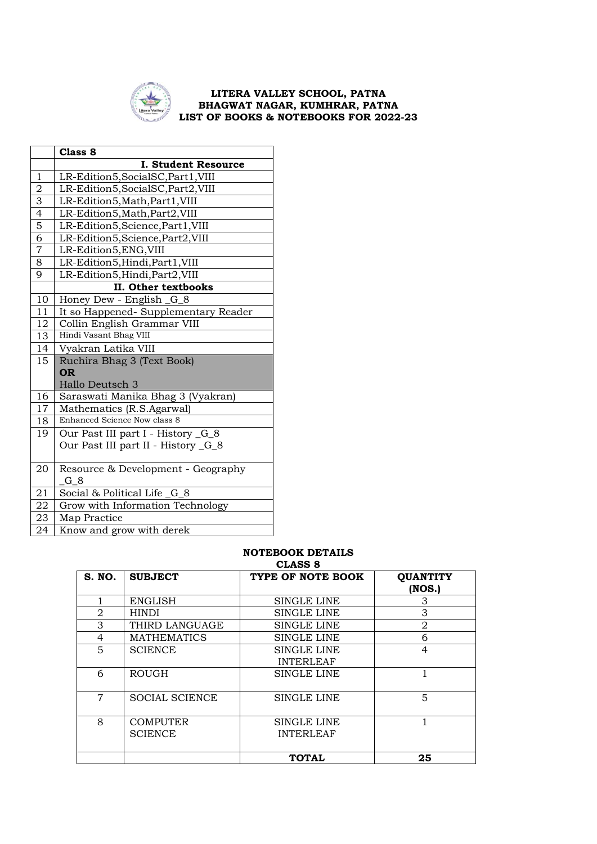

|                             | Class 8                              |  |  |
|-----------------------------|--------------------------------------|--|--|
|                             | <b>I. Student Resource</b>           |  |  |
| $\mathbf{1}$                | LR-Edition5, SocialSC, Part1, VIII   |  |  |
| $\overline{2}$              | LR-Edition5, SocialSC, Part2, VIII   |  |  |
| $\frac{3}{4}$ $\frac{4}{5}$ | LR-Edition5, Math, Part1, VIII       |  |  |
|                             | LR-Edition5, Math, Part2, VIII       |  |  |
|                             | LR-Edition5, Science, Part1, VIII    |  |  |
| $\overline{6}$              | LR-Edition5, Science, Part2, VIII    |  |  |
| $\overline{7}$              | LR-Edition5,ENG,VIII                 |  |  |
| 8                           | LR-Edition5, Hindi, Part1, VIII      |  |  |
| $\overline{9}$              | LR-Edition5, Hindi, Part2, VIII      |  |  |
|                             | II. Other textbooks                  |  |  |
| 10                          | Honey Dew - English _G_8             |  |  |
| 11                          | It so Happened- Supplementary Reader |  |  |
| 12                          | Collin English Grammar VIII          |  |  |
| 13                          | Hindi Vasant Bhag VIII               |  |  |
| 14                          | Vyakran Latika VIII                  |  |  |
| 15                          | Ruchira Bhag 3 (Text Book)           |  |  |
|                             | <b>OR</b>                            |  |  |
|                             | Hallo Deutsch 3                      |  |  |
| 16                          | Saraswati Manika Bhag 3 (Vyakran)    |  |  |
| 17                          | Mathematics (R.S.Agarwal)            |  |  |
| 18                          | Enhanced Science Now class 8         |  |  |
| 19                          | Our Past III part I - History _G_8   |  |  |
|                             | Our Past III part II - History _G_8  |  |  |
| 20                          | Resource & Development - Geography   |  |  |
|                             | G_8                                  |  |  |
| 21                          | Social & Political Life G 8          |  |  |
| 22                          | Grow with Information Technology     |  |  |
| 23                          | Map Practice                         |  |  |
| 24                          | Know and grow with derek             |  |  |

## **NOTEBOOK DETAILS**

| CLASS 8        |                                   |                                        |                           |
|----------------|-----------------------------------|----------------------------------------|---------------------------|
| <b>S. NO.</b>  | <b>SUBJECT</b>                    | TYPE OF NOTE BOOK                      | <b>QUANTITY</b><br>(NOS.) |
|                | ENGLISH                           | SINGLE LINE                            | 3                         |
| $\overline{2}$ | HINDI                             | SINGLE LINE                            | 3                         |
| 3              | THIRD LANGUAGE                    | SINGLE LINE                            | 2                         |
| 4              | <b>MATHEMATICS</b>                | <b>SINGLE LINE</b>                     | 6                         |
| 5              | <b>SCIENCE</b>                    | SINGLE LINE<br><b>INTERLEAF</b>        | $\overline{4}$            |
| 6              | <b>ROUGH</b>                      | <b>SINGLE LINE</b>                     |                           |
| 7              | <b>SOCIAL SCIENCE</b>             | SINGLE LINE                            | 5                         |
| 8              | <b>COMPUTER</b><br><b>SCIENCE</b> | <b>SINGLE LINE</b><br><b>INTERLEAF</b> |                           |
|                |                                   | <b>TOTAL</b>                           | 25                        |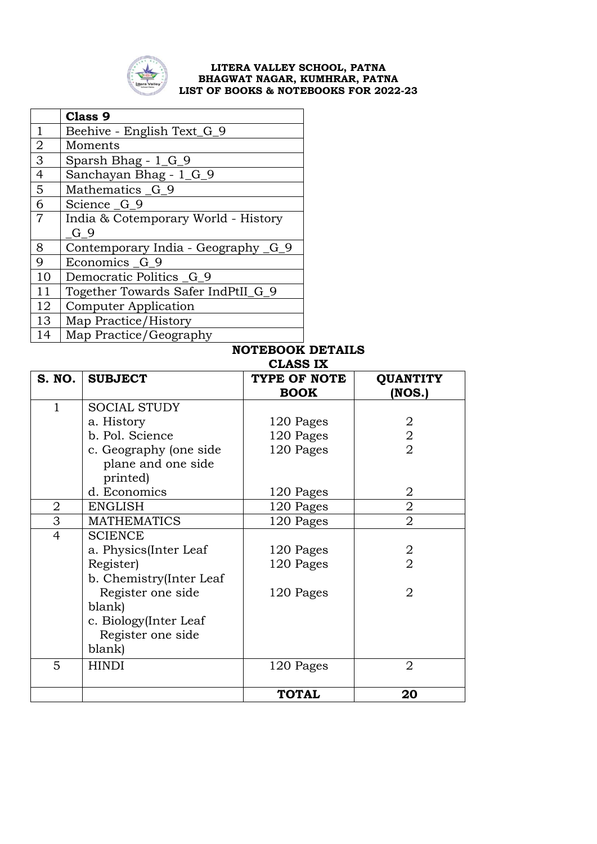

|                  | Class 9                             |  |
|------------------|-------------------------------------|--|
| $\mathbf{1}$     | Beehive - English Text_G_9          |  |
| $\overline{2}$   | Moments                             |  |
| $\overline{3}$   | Sparsh Bhag $-1_G9$                 |  |
| $\overline{4}$   | Sanchayan Bhag - 1 <sub>G</sub> 9   |  |
| $\overline{5}$   | Mathematics G 9                     |  |
| $\boldsymbol{6}$ | Science G_9                         |  |
| $\overline{7}$   | India & Cotemporary World - History |  |
|                  | G 9                                 |  |
| 8                | Contemporary India - Geography G_9  |  |
| 9                | Economics G_9                       |  |
| 10               | Democratic Politics _G_9            |  |
| 11               | Together Towards Safer IndPtII G 9  |  |
| 12               | <b>Computer Application</b>         |  |
| 13               | Map Practice/History                |  |
| 14               | Map Practice/Geography              |  |

|                | ULINU 141               |              |                 |
|----------------|-------------------------|--------------|-----------------|
| <b>S. NO.</b>  | <b>SUBJECT</b>          | TYPE OF NOTE | <b>QUANTITY</b> |
|                |                         | <b>BOOK</b>  | (NOS.)          |
| $\mathbf{1}$   | <b>SOCIAL STUDY</b>     |              |                 |
|                | a. History              | 120 Pages    | 2               |
|                | b. Pol. Science         | 120 Pages    | $\overline{2}$  |
|                | c. Geography (one side  | 120 Pages    | $\overline{2}$  |
|                | plane and one side      |              |                 |
|                | printed)                |              |                 |
|                | d. Economics            | 120 Pages    | 2               |
| 2              | <b>ENGLISH</b>          | 120 Pages    | $\overline{2}$  |
| 3              | <b>MATHEMATICS</b>      | 120 Pages    | $\overline{2}$  |
| $\overline{4}$ | <b>SCIENCE</b>          |              |                 |
|                | a. Physics(Inter Leaf   | 120 Pages    | 2               |
|                | Register)               | 120 Pages    | $\overline{2}$  |
|                | b. Chemistry(Inter Leaf |              |                 |
|                | Register one side       | 120 Pages    | $\overline{2}$  |
|                | blank)                  |              |                 |
|                | c. Biology(Inter Leaf   |              |                 |
|                | Register one side       |              |                 |
|                | blank)                  |              |                 |
| 5              | <b>HINDI</b>            | 120 Pages    | $\overline{2}$  |
|                |                         |              |                 |
|                |                         | <b>TOTAL</b> | 20              |